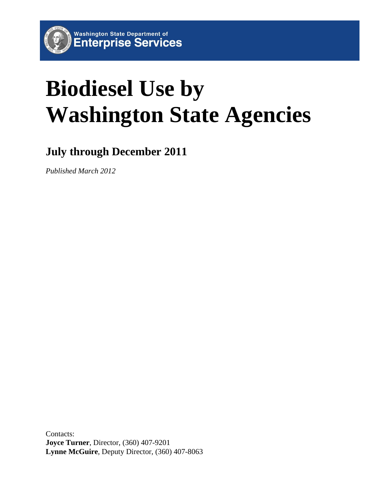

# **July through December 2011**

*Published March 2012*

Contacts: **Joyce Turner**, Director, (360) 407-9201 **Lynne McGuire**, Deputy Director, (360) 407-8063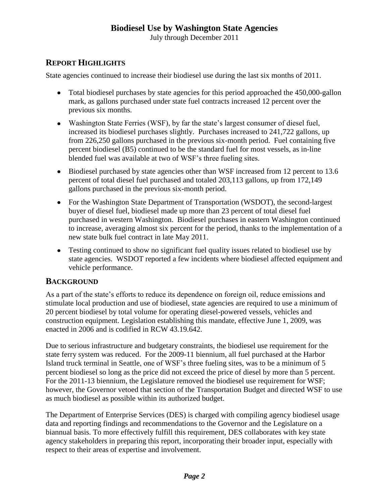July through December 2011

# **REPORT HIGHLIGHTS**

State agencies continued to increase their biodiesel use during the last six months of 2011.

- Total biodiesel purchases by state agencies for this period approached the 450,000-gallon  $\bullet$ mark, as gallons purchased under state fuel contracts increased 12 percent over the previous six months.
- Washington State Ferries (WSF), by far the state's largest consumer of diesel fuel, increased its biodiesel purchases slightly. Purchases increased to 241,722 gallons, up from 226,250 gallons purchased in the previous six-month period. Fuel containing five percent biodiesel (B5) continued to be the standard fuel for most vessels, as in-line blended fuel was available at two of WSF's three fueling sites.
- Biodiesel purchased by state agencies other than WSF increased from 12 percent to 13.6 percent of total diesel fuel purchased and totaled 203,113 gallons, up from 172,149 gallons purchased in the previous six-month period.
- For the Washington State Department of Transportation (WSDOT), the second-largest buyer of diesel fuel, biodiesel made up more than 23 percent of total diesel fuel purchased in western Washington. Biodiesel purchases in eastern Washington continued to increase, averaging almost six percent for the period, thanks to the implementation of a new state bulk fuel contract in late May 2011.
- Testing continued to show no significant fuel quality issues related to biodiesel use by state agencies. WSDOT reported a few incidents where biodiesel affected equipment and vehicle performance.

# **BACKGROUND**

As a part of the state's efforts to reduce its dependence on foreign oil, reduce emissions and stimulate local production and use of biodiesel, state agencies are required to use a minimum of 20 percent biodiesel by total volume for operating diesel-powered vessels, vehicles and construction equipment. Legislation establishing this mandate, effective June 1, 2009, was enacted in 2006 and is codified in RCW 43.19.642.

Due to serious infrastructure and budgetary constraints, the biodiesel use requirement for the state ferry system was reduced. For the 2009-11 biennium, all fuel purchased at the Harbor Island truck terminal in Seattle, one of WSF's three fueling sites, was to be a minimum of 5 percent biodiesel so long as the price did not exceed the price of diesel by more than 5 percent. For the 2011-13 biennium, the Legislature removed the biodiesel use requirement for WSF; however, the Governor vetoed that section of the Transportation Budget and directed WSF to use as much biodiesel as possible within its authorized budget.

The Department of Enterprise Services (DES) is charged with compiling agency biodiesel usage data and reporting findings and recommendations to the Governor and the Legislature on a biannual basis. To more effectively fulfill this requirement, DES collaborates with key state agency stakeholders in preparing this report, incorporating their broader input, especially with respect to their areas of expertise and involvement.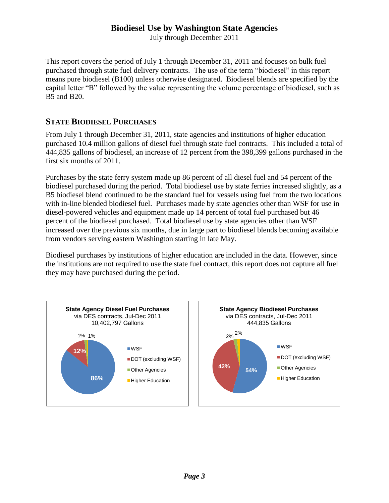July through December 2011

This report covers the period of July 1 through December 31, 2011 and focuses on bulk fuel purchased through state fuel delivery contracts. The use of the term "biodiesel" in this report means pure biodiesel (B100) unless otherwise designated. Biodiesel blends are specified by the capital letter "B" followed by the value representing the volume percentage of biodiesel, such as B5 and B20.

#### **STATE BIODIESEL PURCHASES**

From July 1 through December 31, 2011, state agencies and institutions of higher education purchased 10.4 million gallons of diesel fuel through state fuel contracts. This included a total of 444,835 gallons of biodiesel, an increase of 12 percent from the 398,399 gallons purchased in the first six months of 2011.

Purchases by the state ferry system made up 86 percent of all diesel fuel and 54 percent of the biodiesel purchased during the period. Total biodiesel use by state ferries increased slightly, as a B5 biodiesel blend continued to be the standard fuel for vessels using fuel from the two locations with in-line blended biodiesel fuel. Purchases made by state agencies other than WSF for use in diesel-powered vehicles and equipment made up 14 percent of total fuel purchased but 46 percent of the biodiesel purchased. Total biodiesel use by state agencies other than WSF increased over the previous six months, due in large part to biodiesel blends becoming available from vendors serving eastern Washington starting in late May.

Biodiesel purchases by institutions of higher education are included in the data. However, since the institutions are not required to use the state fuel contract, this report does not capture all fuel they may have purchased during the period.

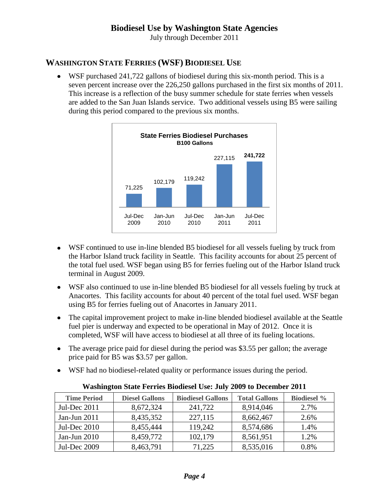July through December 2011

# **WASHINGTON STATE FERRIES (WSF) BIODIESEL USE**

WSF purchased 241,722 gallons of biodiesel during this six-month period. This is a seven percent increase over the 226,250 gallons purchased in the first six months of 2011. This increase is a reflection of the busy summer schedule for state ferries when vessels are added to the San Juan Islands service. Two additional vessels using B5 were sailing during this period compared to the previous six months.



- WSF continued to use in-line blended B5 biodiesel for all vessels fueling by truck from the Harbor Island truck facility in Seattle. This facility accounts for about 25 percent of the total fuel used. WSF began using B5 for ferries fueling out of the Harbor Island truck terminal in August 2009.
- WSF also continued to use in-line blended B5 biodiesel for all vessels fueling by truck at  $\bullet$ Anacortes. This facility accounts for about 40 percent of the total fuel used. WSF began using B5 for ferries fueling out of Anacortes in January 2011.
- The capital improvement project to make in-line blended biodiesel available at the Seattle fuel pier is underway and expected to be operational in May of 2012. Once it is completed, WSF will have access to biodiesel at all three of its fueling locations.
- The average price paid for diesel during the period was \$3.55 per gallon; the average  $\bullet$ price paid for B5 was \$3.57 per gallon.
- WSF had no biodiesel-related quality or performance issues during the period.

| <b>Time Period</b> | <b>Diesel Gallons</b> | <b>Biodiesel Gallons</b> | <b>Total Gallons</b> | <b>Biodiesel %</b> |
|--------------------|-----------------------|--------------------------|----------------------|--------------------|
| Jul-Dec 2011       | 8,672,324             | 241,722                  | 8,914,046            | 2.7%               |
| Jan-Jun $2011$     | 8,435,352             | 227,115                  | 8,662,467            | 2.6%               |
| Jul-Dec 2010       | 8,455,444             | 119,242                  | 8,574,686            | 1.4%               |
| Jan-Jun 2010       | 8,459,772             | 102,179                  | 8,561,951            | 1.2%               |
| Jul-Dec 2009       | 8,463,791             | 71,225                   | 8,535,016            | 0.8%               |

**Washington State Ferries Biodiesel Use: July 2009 to December 2011**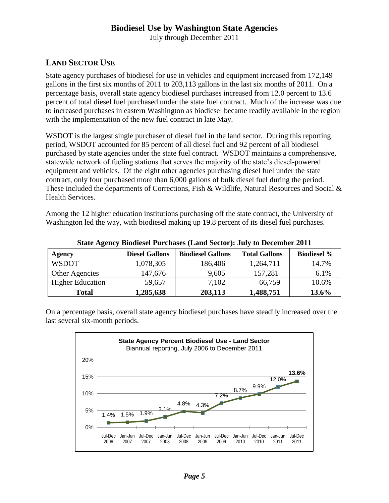July through December 2011

# **LAND SECTOR USE**

State agency purchases of biodiesel for use in vehicles and equipment increased from 172,149 gallons in the first six months of 2011 to 203,113 gallons in the last six months of 2011. On a percentage basis, overall state agency biodiesel purchases increased from 12.0 percent to 13.6 percent of total diesel fuel purchased under the state fuel contract. Much of the increase was due to increased purchases in eastern Washington as biodiesel became readily available in the region with the implementation of the new fuel contract in late May.

WSDOT is the largest single purchaser of diesel fuel in the land sector. During this reporting period, WSDOT accounted for 85 percent of all diesel fuel and 92 percent of all biodiesel purchased by state agencies under the state fuel contract. WSDOT maintains a comprehensive, statewide network of fueling stations that serves the majority of the state's diesel-powered equipment and vehicles. Of the eight other agencies purchasing diesel fuel under the state contract, only four purchased more than 6,000 gallons of bulk diesel fuel during the period. These included the departments of Corrections, Fish & Wildlife, Natural Resources and Social & Health Services.

Among the 12 higher education institutions purchasing off the state contract, the University of Washington led the way, with biodiesel making up 19.8 percent of its diesel fuel purchases.

| Agency                  | <b>Diesel Gallons</b> | <b>Biodiesel Gallons</b> | <b>Total Gallons</b> | <b>Biodiesel %</b> |  |  |  |
|-------------------------|-----------------------|--------------------------|----------------------|--------------------|--|--|--|
| <b>WSDOT</b>            | 1,078,305             | 186,406                  | 1,264,711            | 14.7%              |  |  |  |
| Other Agencies          | 147,676               | 9,605                    | 157,281              | 6.1%               |  |  |  |
| <b>Higher Education</b> | 59,657                | 7,102                    | 66,759               | 10.6%              |  |  |  |
| Total                   | 1,285,638             | 203,113                  | 1,488,751            | 13.6%              |  |  |  |

**State Agency Biodiesel Purchases (Land Sector): July to December 2011**

On a percentage basis, overall state agency biodiesel purchases have steadily increased over the last several six-month periods.

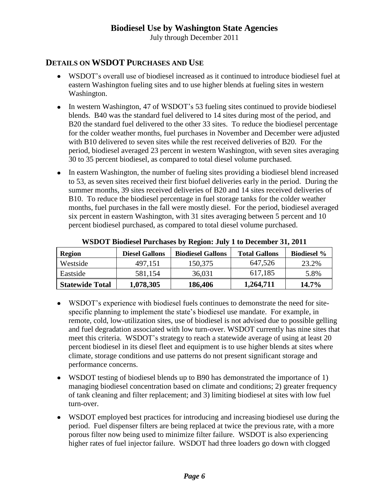July through December 2011

#### **DETAILS ON WSDOT PURCHASES AND USE**

- WSDOT's overall use of biodiesel increased as it continued to introduce biodiesel fuel at eastern Washington fueling sites and to use higher blends at fueling sites in western Washington.
- In western Washington, 47 of WSDOT's 53 fueling sites continued to provide biodiesel blends. B40 was the standard fuel delivered to 14 sites during most of the period, and B20 the standard fuel delivered to the other 33 sites. To reduce the biodiesel percentage for the colder weather months, fuel purchases in November and December were adjusted with B10 delivered to seven sites while the rest received deliveries of B20. For the period, biodiesel averaged 23 percent in western Washington, with seven sites averaging 30 to 35 percent biodiesel, as compared to total diesel volume purchased.
- In eastern Washington, the number of fueling sites providing a biodiesel blend increased to 53, as seven sites received their first biofuel deliveries early in the period. During the summer months, 39 sites received deliveries of B20 and 14 sites received deliveries of B10. To reduce the biodiesel percentage in fuel storage tanks for the colder weather months, fuel purchases in the fall were mostly diesel. For the period, biodiesel averaged six percent in eastern Washington, with 31 sites averaging between 5 percent and 10 percent biodiesel purchased, as compared to total diesel volume purchased.

| Region                 | <b>Diesel Gallons</b> | <b>Biodiesel Gallons</b> | <b>Total Gallons</b> | <b>Biodiesel</b> % |
|------------------------|-----------------------|--------------------------|----------------------|--------------------|
| Westside               | 497,151               | 150,375                  | 647,526              | 23.2%              |
| Eastside               | 581,154               | 36,031                   | 617,185              | 5.8%               |
| <b>Statewide Total</b> | 1,078,305             | 186,406                  | 1,264,711            | $14.7\%$           |

**WSDOT Biodiesel Purchases by Region: July 1 to December 31, 2011**

- WSDOT's experience with biodiesel fuels continues to demonstrate the need for sitespecific planning to implement the state's biodiesel use mandate. For example, in remote, cold, low-utilization sites, use of biodiesel is not advised due to possible gelling and fuel degradation associated with low turn-over. WSDOT currently has nine sites that meet this criteria. WSDOT's strategy to reach a statewide average of using at least 20 percent biodiesel in its diesel fleet and equipment is to use higher blends at sites where climate, storage conditions and use patterns do not present significant storage and performance concerns.
- WSDOT testing of biodiesel blends up to B90 has demonstrated the importance of 1) managing biodiesel concentration based on climate and conditions; 2) greater frequency of tank cleaning and filter replacement; and 3) limiting biodiesel at sites with low fuel turn-over.
- WSDOT employed best practices for introducing and increasing biodiesel use during the period. Fuel dispenser filters are being replaced at twice the previous rate, with a more porous filter now being used to minimize filter failure. WSDOT is also experiencing higher rates of fuel injector failure. WSDOT had three loaders go down with clogged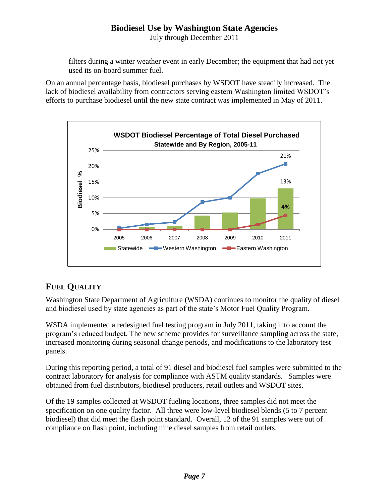July through December 2011

filters during a winter weather event in early December; the equipment that had not yet used its on-board summer fuel.

On an annual percentage basis, biodiesel purchases by WSDOT have steadily increased. The lack of biodiesel availability from contractors serving eastern Washington limited WSDOT's efforts to purchase biodiesel until the new state contract was implemented in May of 2011.



# **FUEL QUALITY**

Washington State Department of Agriculture (WSDA) continues to monitor the quality of diesel and biodiesel used by state agencies as part of the state's Motor Fuel Quality Program.

WSDA implemented a redesigned fuel testing program in July 2011, taking into account the program's reduced budget. The new scheme provides for surveillance sampling across the state, increased monitoring during seasonal change periods, and modifications to the laboratory test panels.

During this reporting period, a total of 91 diesel and biodiesel fuel samples were submitted to the contract laboratory for analysis for compliance with ASTM quality standards. Samples were obtained from fuel distributors, biodiesel producers, retail outlets and WSDOT sites.

Of the 19 samples collected at WSDOT fueling locations, three samples did not meet the specification on one quality factor. All three were low-level biodiesel blends (5 to 7 percent biodiesel) that did meet the flash point standard. Overall, 12 of the 91 samples were out of compliance on flash point, including nine diesel samples from retail outlets.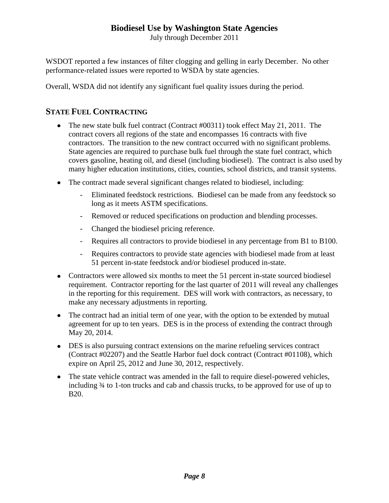July through December 2011

WSDOT reported a few instances of filter clogging and gelling in early December. No other performance-related issues were reported to WSDA by state agencies.

Overall, WSDA did not identify any significant fuel quality issues during the period.

### **STATE FUEL CONTRACTING**

- The new state bulk fuel contract (Contract #00311) took effect May 21, 2011. The contract covers all regions of the state and encompasses 16 contracts with five contractors. The transition to the new contract occurred with no significant problems. State agencies are required to purchase bulk fuel through the state fuel contract, which covers gasoline, heating oil, and diesel (including biodiesel). The contract is also used by many higher education institutions, cities, counties, school districts, and transit systems.
- The contract made several significant changes related to biodiesel, including:
	- Eliminated feedstock restrictions. Biodiesel can be made from any feedstock so long as it meets ASTM specifications.
	- Removed or reduced specifications on production and blending processes.
	- Changed the biodiesel pricing reference.
	- Requires all contractors to provide biodiesel in any percentage from B1 to B100.
	- Requires contractors to provide state agencies with biodiesel made from at least 51 percent in-state feedstock and/or biodiesel produced in-state.
- Contractors were allowed six months to meet the 51 percent in-state sourced biodiesel requirement. Contractor reporting for the last quarter of 2011 will reveal any challenges in the reporting for this requirement. DES will work with contractors, as necessary, to make any necessary adjustments in reporting.
- The contract had an initial term of one year, with the option to be extended by mutual agreement for up to ten years. DES is in the process of extending the contract through May 20, 2014.
- DES is also pursuing contract extensions on the marine refueling services contract (Contract #02207) and the Seattle Harbor fuel dock contract (Contract #01108), which expire on April 25, 2012 and June 30, 2012, respectively.
- The state vehicle contract was amended in the fall to require diesel-powered vehicles, including ¾ to 1-ton trucks and cab and chassis trucks, to be approved for use of up to B20.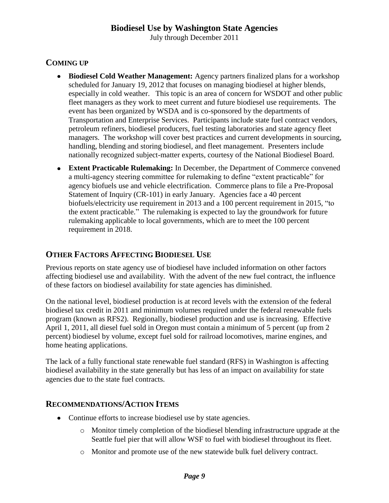July through December 2011

## **COMING UP**

- **Biodiesel Cold Weather Management:** Agency partners finalized plans for a workshop scheduled for January 19, 2012 that focuses on managing biodiesel at higher blends, especially in cold weather. This topic is an area of concern for WSDOT and other public fleet managers as they work to meet current and future biodiesel use requirements. The event has been organized by WSDA and is co-sponsored by the departments of Transportation and Enterprise Services. Participants include state fuel contract vendors, petroleum refiners, biodiesel producers, fuel testing laboratories and state agency fleet managers. The workshop will cover best practices and current developments in sourcing, handling, blending and storing biodiesel, and fleet management. Presenters include nationally recognized subject-matter experts, courtesy of the National Biodiesel Board.
- **Extent Practicable Rulemaking:** In December, the Department of Commerce convened  $\bullet$ a multi-agency steering committee for rulemaking to define "extent practicable" for agency biofuels use and vehicle electrification. Commerce plans to file a Pre-Proposal Statement of Inquiry (CR-101) in early January. Agencies face a 40 percent biofuels/electricity use requirement in 2013 and a 100 percent requirement in 2015, "to the extent practicable." The rulemaking is expected to lay the groundwork for future rulemaking applicable to local governments, which are to meet the 100 percent requirement in 2018.

## **OTHER FACTORS AFFECTING BIODIESEL USE**

Previous reports on state agency use of biodiesel have included information on other factors affecting biodiesel use and availability. With the advent of the new fuel contract, the influence of these factors on biodiesel availability for state agencies has diminished.

On the national level, biodiesel production is at record levels with the extension of the federal biodiesel tax credit in 2011 and minimum volumes required under the federal renewable fuels program (known as RFS2). Regionally, biodiesel production and use is increasing. Effective April 1, 2011, all diesel fuel sold in Oregon must contain a minimum of 5 percent (up from 2 percent) biodiesel by volume, except fuel sold for railroad locomotives, marine engines, and home heating applications.

The lack of a fully functional state renewable fuel standard (RFS) in Washington is affecting biodiesel availability in the state generally but has less of an impact on availability for state agencies due to the state fuel contracts.

#### **RECOMMENDATIONS/ACTION ITEMS**

- Continue efforts to increase biodiesel use by state agencies.
	- o Monitor timely completion of the biodiesel blending infrastructure upgrade at the Seattle fuel pier that will allow WSF to fuel with biodiesel throughout its fleet.
	- o Monitor and promote use of the new statewide bulk fuel delivery contract.